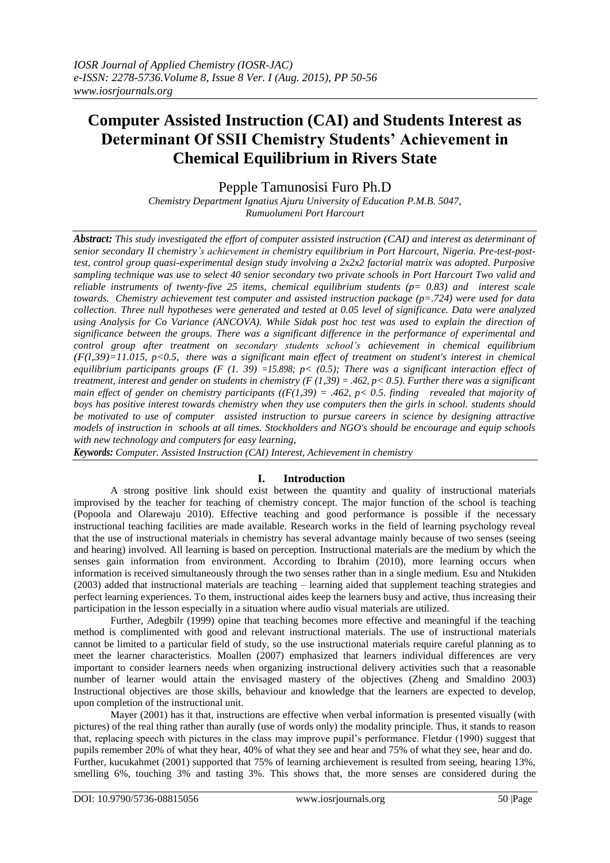# **Computer Assisted Instruction (CAI) and Students Interest as Determinant Of SSII Chemistry Students' Achievement in Chemical Equilibrium in Rivers State**

Pepple Tamunosisi Furo Ph.D

*Chemistry Department Ignatius Ajuru University of Education P.M.B. 5047, Rumuolumeni Port Harcourt*

*Abstract: This study investigated the effort of computer assisted instruction (CAI) and interest as determinant of senior secondary II chemistry's achievement in chemistry equilibrium in Port Harcourt, Nigeria. Pre-test-posttest, control group quasi-experimental design study involving a 2x2x2 factorial matrix was adopted. Purposive sampling technique was use to select 40 senior secondary two private schools in Port Harcourt Two valid and reliable instruments of twenty-five 25 items, chemical equilibrium students (p= 0.83) and interest scale towards. Chemistry achievement test computer and assisted instruction package (p=.724) were used for data collection. Three null hypotheses were generated and tested at 0.05 level of significance. Data were analyzed using Analysis for Co Variance (ANCOVA). While Sidak post hoc test was used to explain the direction of significance between the groups. There was a significant difference in the performance of experimental and control group after treatment on secondary students school's achievement in chemical equilibrium (F(l,39)=11.015, p<0.5, there was a significant main effect of treatment on student's interest in chemical equilibrium participants groups (F (1. 39) =15.898; p< (0.5); There was a significant interaction effect of treatment, interest and gender on students in chemistry (F (1,39) = .462, p< 0.5). Further there was a significant main effect of gender on chemistry participants*  $((F(1,39)) = .462, p < 0.5$ . *finding revealed that majority of boys has positive interest towards chemistry when they use computers then the girls in school. students should be motivated to use of computer assisted instruction to pursue careers in science by designing attractive models of instruction in schools at all times. Stockholders and NGO's should be encourage and equip schools with new technology and computers for easy learning,* 

*Keywords: Computer. Assisted Instruction (CAI) Interest, Achievement in chemistry*

# **I. Introduction**

A strong positive link should exist between the quantity and quality of instructional materials improvised by the teacher for teaching of chemistry concept. The major function of the school is teaching (Popoola and Olarewaju 2010). Effective teaching and good performance is possible if the necessary instructional teaching facilities are made available. Research works in the field of learning psychology reveal that the use of instructional materials in chemistry has several advantage mainly because of two senses (seeing and hearing) involved. All learning is based on perception. Instructional materials are the medium by which the senses gain information from environment. According to Ibrahim (2010), more learning occurs when information is received simultaneously through the two senses rather than in a single medium. Esu and Ntukiden (2003) added that instructional materials are teaching – learning aided that supplement teaching strategies and perfect learning experiences. To them, instructional aides keep the learners busy and active, thus increasing their participation in the lesson especially in a situation where audio visual materials are utilized.

Further, Adegbilr (1999) opine that teaching becomes more effective and meaningful if the teaching method is complimented with good and relevant instructional materials. The use of instructional materials cannot be limited to a particular field of study, so the use instructional materials require careful planning as to meet the learner characteristics. Moallen (2007) emphasized that learners individual differences are very important to consider learners needs when organizing instructional delivery activities such that a reasonable number of learner would attain the envisaged mastery of the objectives (Zheng and Smaldino 2003) Instructional objectives are those skills, behaviour and knowledge that the learners are expected to develop, upon completion of the instructional unit.

Mayer (2001) has it that, instructions are effective when verbal information is presented visually (with pictures) of the real thing rather than aurally (use of words only) the modality principle. Thus, it stands to reason that, replacing speech with pictures in the class may improve pupil's performance. Fletdur (1990) suggest that pupils remember 20% of what they hear, 40% of what they see and hear and 75% of what they see, hear and do. Further, kucukahmet (2001) supported that 75% of learning archievement is resulted from seeing, hearing 13%, smelling 6%, touching 3% and tasting 3%. This shows that, the more senses are considered during the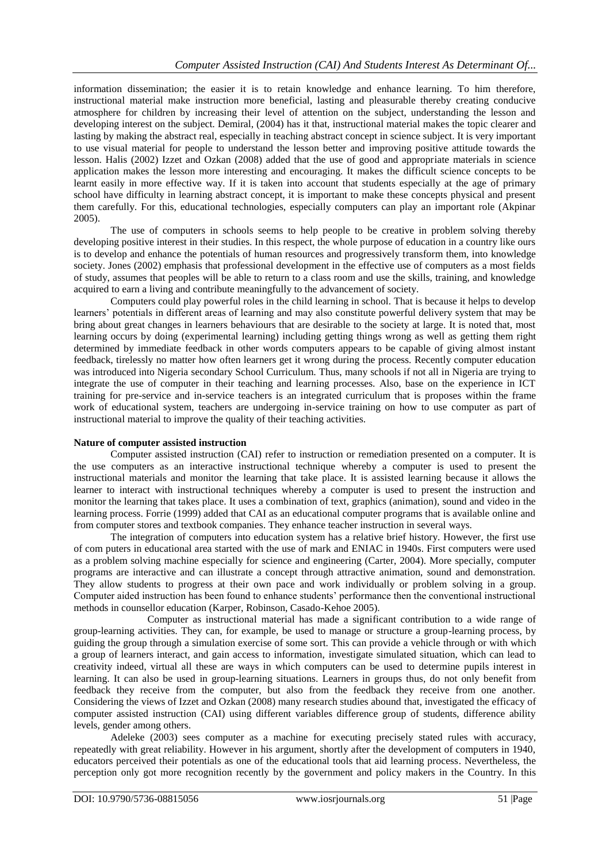information dissemination; the easier it is to retain knowledge and enhance learning. To him therefore, instructional material make instruction more beneficial, lasting and pleasurable thereby creating conducive atmosphere for children by increasing their level of attention on the subject, understanding the lesson and developing interest on the subject. Demiral, (2004) has it that, instructional material makes the topic clearer and lasting by making the abstract real, especially in teaching abstract concept in science subject. It is very important to use visual material for people to understand the lesson better and improving positive attitude towards the lesson. Halis (2002) Izzet and Ozkan (2008) added that the use of good and appropriate materials in science application makes the lesson more interesting and encouraging. It makes the difficult science concepts to be learnt easily in more effective way. If it is taken into account that students especially at the age of primary school have difficulty in learning abstract concept, it is important to make these concepts physical and present them carefully. For this, educational technologies, especially computers can play an important role (Akpinar 2005).

The use of computers in schools seems to help people to be creative in problem solving thereby developing positive interest in their studies. In this respect, the whole purpose of education in a country like ours is to develop and enhance the potentials of human resources and progressively transform them, into knowledge society. Jones (2002) emphasis that professional development in the effective use of computers as a most fields of study, assumes that peoples will be able to return to a class room and use the skills, training, and knowledge acquired to earn a living and contribute meaningfully to the advancement of society.

Computers could play powerful roles in the child learning in school. That is because it helps to develop learners' potentials in different areas of learning and may also constitute powerful delivery system that may be bring about great changes in learners behaviours that are desirable to the society at large. It is noted that, most learning occurs by doing (experimental learning) including getting things wrong as well as getting them right determined by immediate feedback in other words computers appears to be capable of giving almost instant feedback, tirelessly no matter how often learners get it wrong during the process. Recently computer education was introduced into Nigeria secondary School Curriculum. Thus, many schools if not all in Nigeria are trying to integrate the use of computer in their teaching and learning processes. Also, base on the experience in ICT training for pre-service and in-service teachers is an integrated curriculum that is proposes within the frame work of educational system, teachers are undergoing in-service training on how to use computer as part of instructional material to improve the quality of their teaching activities.

### **Nature of computer assisted instruction**

Computer assisted instruction (CAI) refer to instruction or remediation presented on a computer. It is the use computers as an interactive instructional technique whereby a computer is used to present the instructional materials and monitor the learning that take place. It is assisted learning because it allows the learner to interact with instructional techniques whereby a computer is used to present the instruction and monitor the learning that takes place. It uses a combination of text, graphics (animation), sound and video in the learning process. Forrie (1999) added that CAI as an educational computer programs that is available online and from computer stores and textbook companies. They enhance teacher instruction in several ways.

The integration of computers into education system has a relative brief history. However, the first use of com puters in educational area started with the use of mark and ENIAC in 1940s. First computers were used as a problem solving machine especially for science and engineering (Carter, 2004). More specially, computer programs are interactive and can illustrate a concept through attractive animation, sound and demonstration. They allow students to progress at their own pace and work individually or problem solving in a group. Computer aided instruction has been found to enhance students' performance then the conventional instructional methods in counsellor education (Karper, Robinson, Casado-Kehoe 2005).

Computer as instructional material has made a significant contribution to a wide range of group-learning activities. They can, for example, be used to manage or structure a group-learning process, by guiding the group through a simulation exercise of some sort. This can provide a vehicle through or with which a group of learners interact, and gain access to information, investigate simulated situation, which can lead to creativity indeed, virtual all these are ways in which computers can be used to determine pupils interest in learning. It can also be used in group-learning situations. Learners in groups thus, do not only benefit from feedback they receive from the computer, but also from the feedback they receive from one another. Considering the views of Izzet and Ozkan (2008) many research studies abound that, investigated the efficacy of computer assisted instruction (CAI) using different variables difference group of students, difference ability levels, gender among others.

Adeleke (2003) sees computer as a machine for executing precisely stated rules with accuracy, repeatedly with great reliability. However in his argument, shortly after the development of computers in 1940, educators perceived their potentials as one of the educational tools that aid learning process. Nevertheless, the perception only got more recognition recently by the government and policy makers in the Country. In this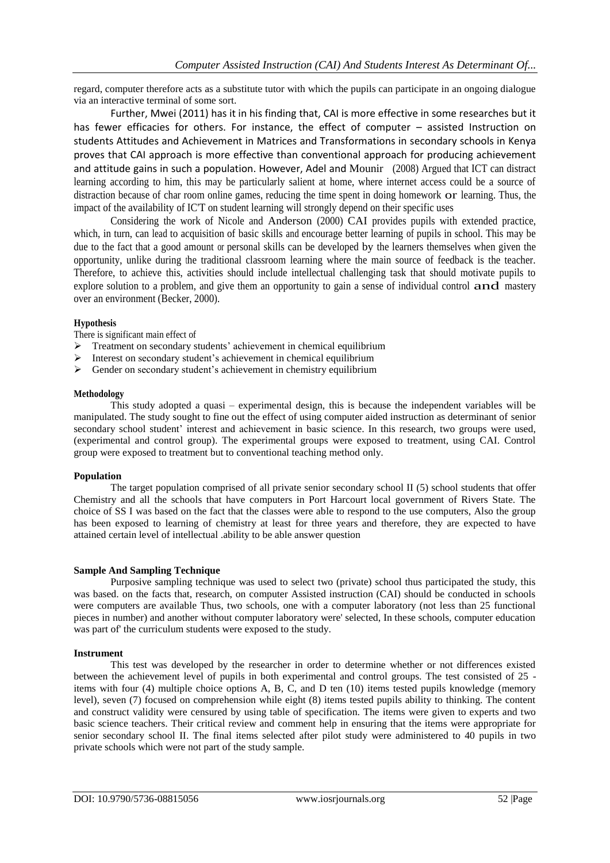regard, computer therefore acts as a substitute tutor with which the pupils can participate in an ongoing dialogue via an interactive terminal of some sort.

Further, Mwei (2011) has it in his finding that, CAI is more effective in some researches but it has fewer efficacies for others. For instance, the effect of computer - assisted Instruction on students Attitudes and Achievement in Matrices and Transformations in secondary schools in Kenya proves that CAI approach is more effective than conventional approach for producing achievement and attitude gains in such a population. However, Adel and Mounir (2008) Argued that ICT can distract learning according to him, this may be particularly salient at home, where internet access could be a source of distraction because of char room online games, reducing the time spent in doing homework or learning. Thus, the impact of the availability of IC'T on student learning will strongly depend on their specific uses

Considering the work of Nicole and Anderson (2000) CAI provides pupils with extended practice, which, in turn, can lead to acquisition of basic skills and encourage better learning of pupils in school. This may be due to the fact that a good amount or personal skills can be developed by the learners themselves when given the opportunity, unlike during the traditional classroom learning where the main source of feedback is the teacher. Therefore, to achieve this, activities should include intellectual challenging task that should motivate pupils to explore solution to a problem, and give them an opportunity to gain a sense of individual control and mastery over an environment (Becker, 2000).

## **Hypothesis**

There is significant main effect of

- > Treatment on secondary students' achievement in chemical equilibrium
- $\triangleright$  Interest on secondary student's achievement in chemical equilibrium
- $\triangleright$  Gender on secondary student's achievement in chemistry equilibrium

#### **Methodology**

This study adopted a quasi – experimental design, this is because the independent variables will be manipulated. The study sought to fine out the effect of using computer aided instruction as determinant of senior secondary school student' interest and achievement in basic science. In this research, two groups were used, (experimental and control group). The experimental groups were exposed to treatment, using CAI. Control group were exposed to treatment but to conventional teaching method only.

#### **Population**

The target population comprised of all private senior secondary school II (5) school students that offer Chemistry and all the schools that have computers in Port Harcourt local government of Rivers State. The choice of SS I was based on the fact that the classes were able to respond to the use computers, Also the group has been exposed to learning of chemistry at least for three years and therefore, they are expected to have attained certain level of intellectual .ability to be able answer question

#### **Sample And Sampling Technique**

Purposive sampling technique was used to select two (private) school thus participated the study, this was based. on the facts that, research, on computer Assisted instruction (CAI) should be conducted in schools were computers are available Thus, two schools, one with a computer laboratory (not less than 25 functional pieces in number) and another without computer laboratory were' selected, In these schools, computer education was part of' the curriculum students were exposed to the study.

#### **Instrument**

This test was developed by the researcher in order to determine whether or not differences existed between the achievement level of pupils in both experimental and control groups. The test consisted of 25 items with four (4) multiple choice options A, B, C, and D ten (10) items tested pupils knowledge (memory level), seven (7) focused on comprehension while eight (8) items tested pupils ability to thinking. The content and construct validity were censured by using table of specification. The items were given to experts and two basic science teachers. Their critical review and comment help in ensuring that the items were appropriate for senior secondary school II. The final items selected after pilot study were administered to 40 pupils in two private schools which were not part of the study sample.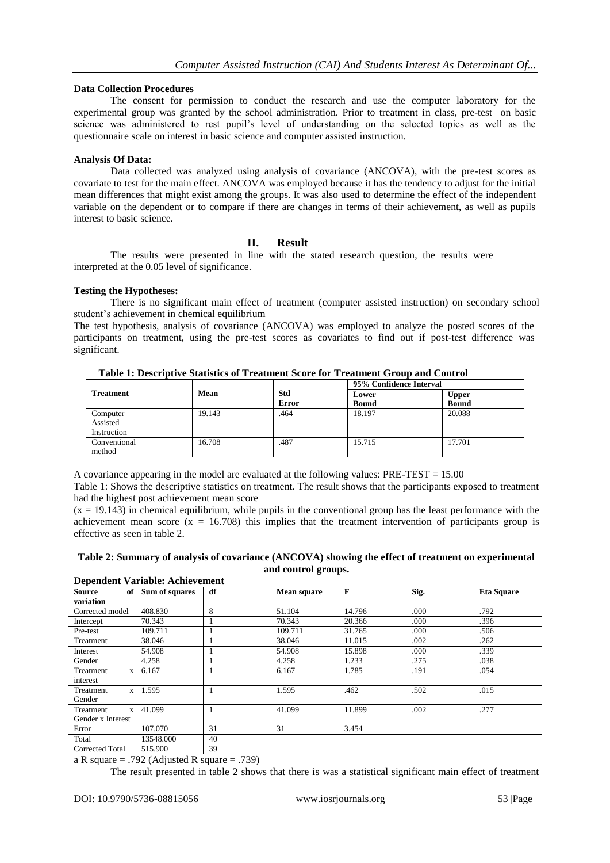### **Data Collection Procedures**

The consent for permission to conduct the research and use the computer laboratory for the experimental group was granted by the school administration. Prior to treatment in class, pre-test on basic science was administered to rest pupil's level of understanding on the selected topics as well as the questionnaire scale on interest in basic science and computer assisted instruction.

### **Analysis Of Data:**

Data collected was analyzed using analysis of covariance (ANCOVA), with the pre-test scores as covariate to test for the main effect. ANCOVA was employed because it has the tendency to adjust for the initial mean differences that might exist among the groups. It was also used to determine the effect of the independent variable on the dependent or to compare if there are changes in terms of their achievement, as well as pupils interest to basic science.

# **II. Result**

The results were presented in line with the stated research question, the results were interpreted at the 0.05 level of significance.

#### **Testing the Hypotheses:**

There is no significant main effect of treatment (computer assisted instruction) on secondary school student's achievement in chemical equilibrium

The test hypothesis, analysis of covariance (ANCOVA) was employed to analyze the posted scores of the participants on treatment, using the pre-test scores as covariates to find out if post-test difference was significant.

|                  |        |              | 95% Confidence Interval |              |  |
|------------------|--------|--------------|-------------------------|--------------|--|
| <b>Treatment</b> | Mean   | <b>Std</b>   | Lower                   | <b>Upper</b> |  |
|                  |        | <b>Error</b> | <b>Bound</b>            | <b>Bound</b> |  |
| Computer         | 19.143 | .464         | 18.197                  | 20.088       |  |
| Assisted         |        |              |                         |              |  |
| Instruction      |        |              |                         |              |  |
| Conventional     | 16.708 | .487         | 15.715                  | 17.701       |  |
| method           |        |              |                         |              |  |

**Table 1: Descriptive Statistics of Treatment Score for Treatment Group and Control**

A covariance appearing in the model are evaluated at the following values: PRE-TEST = 15.00

Table 1: Shows the descriptive statistics on treatment. The result shows that the participants exposed to treatment had the highest post achievement mean score

 $(x = 19.143)$  in chemical equilibrium, while pupils in the conventional group has the least performance with the achievement mean score  $(x = 16.708)$  this implies that the treatment intervention of participants group is effective as seen in table 2.

#### **Table 2: Summary of analysis of covariance (ANCOVA) showing the effect of treatment on experimental and control groups. Dependent Variable: Achievement**

| Dependent variable: Achievement |                            |           |                    |        |      |                   |
|---------------------------------|----------------------------|-----------|--------------------|--------|------|-------------------|
| <b>Source</b><br>of             | Sum of squares             | df        | <b>Mean square</b> | F      | Sig. | <b>Eta Square</b> |
| variation                       |                            |           |                    |        |      |                   |
| Corrected model                 | 408.830                    | 8         | 51.104             | 14.796 | .000 | .792              |
| Intercept                       | 70.343                     | 1         | 70.343             | 20.366 | .000 | .396              |
| Pre-test                        | 109.711                    |           | 109.711            | 31.765 | .000 | .506              |
| Treatment                       | 38.046                     |           | 38.046             | 11.015 | .002 | .262              |
| Interest                        | 54.908                     |           | 54.908             | 15.898 | .000 | .339              |
| Gender                          | 4.258                      |           | 4.258              | 1.233  | .275 | .038              |
| Treatment<br>$\mathbf{x}$       | 6.167                      | 1         | 6.167              | 1.785  | .191 | .054              |
| interest                        |                            |           |                    |        |      |                   |
| Treatment<br>$\mathbf{x}$       | 1.595                      |           | 1.595              | .462   | .502 | .015              |
| Gender                          |                            |           |                    |        |      |                   |
| Treatment<br>$\mathbf{x}$       | 41.099                     | 1         | 41.099             | 11.899 | .002 | .277              |
| Gender x Interest               |                            |           |                    |        |      |                   |
| Error                           | 107.070                    | 31        | 31                 | 3.454  |      |                   |
| Total                           | 13548.000                  | 40        |                    |        |      |                   |
| Corrected Total                 | 515.900                    | 39        |                    |        |      |                   |
| $\sim$                          | $\sim$ $\sim$<br>--- - - - | $- - - -$ |                    |        |      |                   |

a R square = .792 (Adjusted R square = .739)

The result presented in table 2 shows that there is was a statistical significant main effect of treatment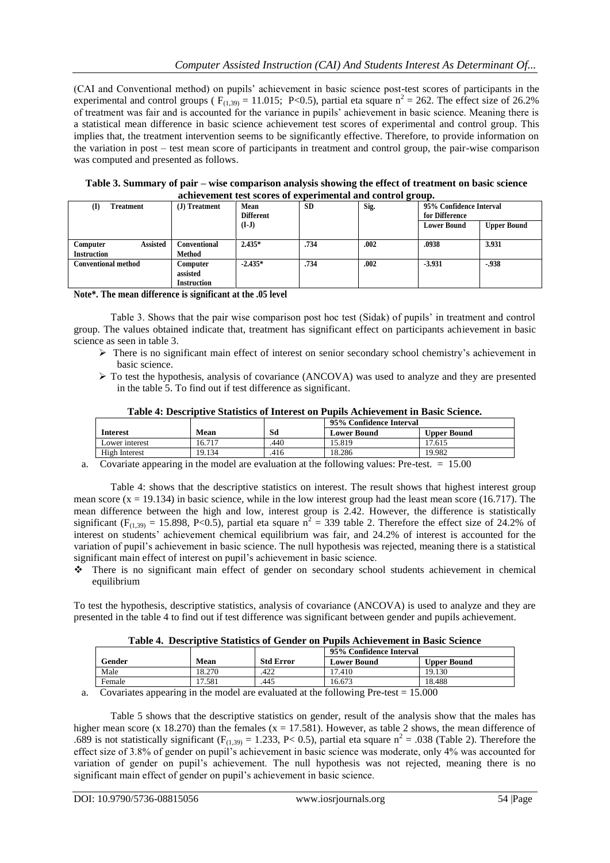(CAI and Conventional method) on pupils' achievement in basic science post-test scores of participants in the experimental and control groups ( $F_{(1,39)} = 11.015$ ; P<0.5), partial eta square n<sup>2</sup> = 262. The effect size of 26.2% of treatment was fair and is accounted for the variance in pupils' achievement in basic science. Meaning there is a statistical mean difference in basic science achievement test scores of experimental and control group. This implies that, the treatment intervention seems to be significantly effective. Therefore, to provide information on the variation in post – test mean score of participants in treatment and control group, the pair-wise comparison was computed and presented as follows.

**Table 3. Summary of pair – wise comparison analysis showing the effect of treatment on basic science achievement test scores of experimental and control group.**

| achievement test scores of experimental and control group. |                                            |                          |           |      |                                           |                    |
|------------------------------------------------------------|--------------------------------------------|--------------------------|-----------|------|-------------------------------------------|--------------------|
| Treatment<br>(I)                                           | (J) Treatment                              | Mean<br><b>Different</b> | <b>SD</b> | Sig. | 95% Confidence Interval<br>for Difference |                    |
|                                                            |                                            | $(I-J)$                  |           |      | <b>Lower Bound</b>                        | <b>Upper Bound</b> |
| <b>Assisted</b><br>Computer<br><b>Instruction</b>          | Conventional<br>Method                     | $2.435*$                 | .734      | .002 | .0938                                     | 3.931              |
| <b>Conventional method</b>                                 | Computer<br>assisted<br><b>Instruction</b> | $-2.435*$                | .734      | .002 | $-3.931$                                  | $-0.938$           |

**Note\*. The mean difference is significant at the .05 level** 

Table 3. Shows that the pair wise comparison post hoc test (Sidak) of pupils' in treatment and control group. The values obtained indicate that, treatment has significant effect on participants achievement in basic science as seen in table 3.

- There is no significant main effect of interest on senior secondary school chemistry's achievement in basic science.
- $\triangleright$  To test the hypothesis, analysis of covariance (ANCOVA) was used to analyze and they are presented in the table 5. To find out if test difference as significant.

|                                    |        |      | 95% Confidence Interval |                    |
|------------------------------------|--------|------|-------------------------|--------------------|
| Interest                           | Mean   | Sd   | <b>Lower Bound</b>      | <b>Upper Bound</b> |
| Lower interest                     | 16.717 | .440 | 5.819                   | 17.615             |
| High Interest                      | 19.134 | .416 | 18.286                  | 19.982             |
| ___<br>$\sim$ $\sim$ $\sim$ $\sim$ |        |      | _______<br>__<br>$\sim$ | .                  |

**Table 4: Descriptive Statistics of Interest on Pupils Achievement in Basic Science.**

a. Covariate appearing in the model are evaluation at the following values: Pre-test. = 15.00

Table 4: shows that the descriptive statistics on interest. The result shows that highest interest group mean score  $(x = 19.134)$  in basic science, while in the low interest group had the least mean score (16.717). The mean difference between the high and low, interest group is 2.42. However, the difference is statistically significant ( $F_{(1,39)} = 15.898$ , P<0.5), partial eta square  $n^2 = 339$  table 2. Therefore the effect size of 24.2% of interest on students' achievement chemical equilibrium was fair, and 24.2% of interest is accounted for the variation of pupil's achievement in basic science. The null hypothesis was rejected, meaning there is a statistical significant main effect of interest on pupil's achievement in basic science.

 There is no significant main effect of gender on secondary school students achievement in chemical equilibrium

To test the hypothesis, descriptive statistics, analysis of covariance (ANCOVA) is used to analyze and they are presented in the table 4 to find out if test difference was significant between gender and pupils achievement.

| Table 4. Descriptive Statistics of Gender on Pupils Achievement in Basic Science |  |  |  |
|----------------------------------------------------------------------------------|--|--|--|
|----------------------------------------------------------------------------------|--|--|--|

|        |        |                  | 95% Confidence Interval |                    |
|--------|--------|------------------|-------------------------|--------------------|
| Gender | Mean   | <b>Std Error</b> | <b>Lower Bound</b>      | <b>Upper Bound</b> |
| Male   | 18.270 | .422             | 7.410                   | 19.130             |
| Female | 7.581  | .445             | 16.673                  | 18.488             |

a. Covariates appearing in the model are evaluated at the following Pre-test  $= 15.000$ 

Table 5 shows that the descriptive statistics on gender, result of the analysis show that the males has higher mean score (x 18.270) than the females (x = 17.581). However, as table 2 shows, the mean difference of .689 is not statistically significant ( $F_{(1,39)} = 1.233$ , P< 0.5), partial eta square  $n^2 = .038$  (Table 2). Therefore the effect size of 3.8% of gender on pupil's achievement in basic science was moderate, only 4% was accounted for variation of gender on pupil's achievement. The null hypothesis was not rejected, meaning there is no significant main effect of gender on pupil's achievement in basic science.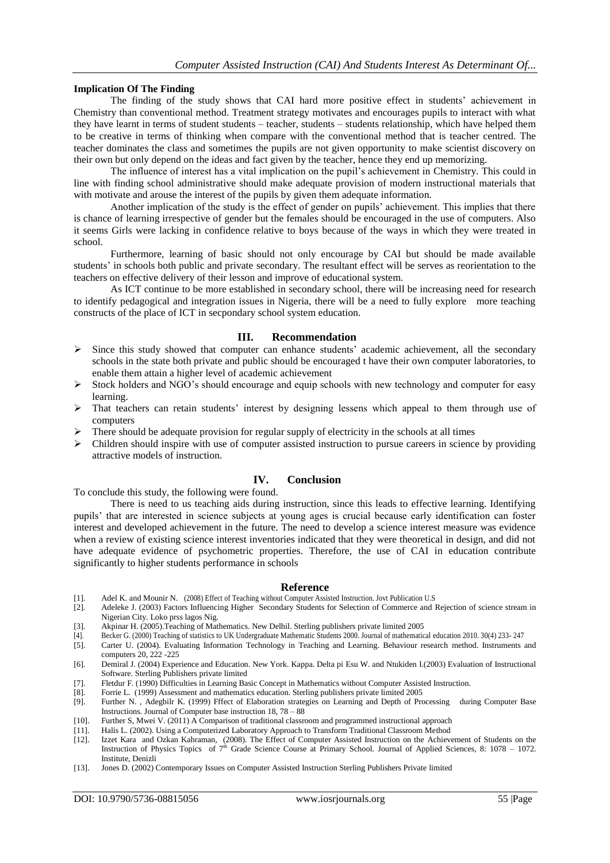#### **Implication Of The Finding**

The finding of the study shows that CAI hard more positive effect in students' achievement in Chemistry than conventional method. Treatment strategy motivates and encourages pupils to interact with what they have learnt in terms of student students – teacher, students – students relationship, which have helped them to be creative in terms of thinking when compare with the conventional method that is teacher centred. The teacher dominates the class and sometimes the pupils are not given opportunity to make scientist discovery on their own but only depend on the ideas and fact given by the teacher, hence they end up memorizing.

The influence of interest has a vital implication on the pupil's achievement in Chemistry. This could in line with finding school administrative should make adequate provision of modern instructional materials that with motivate and arouse the interest of the pupils by given them adequate information.

Another implication of the study is the effect of gender on pupils' achievement. This implies that there is chance of learning irrespective of gender but the females should be encouraged in the use of computers. Also it seems Girls were lacking in confidence relative to boys because of the ways in which they were treated in school.

Furthermore, learning of basic should not only encourage by CAI but should be made available students' in schools both public and private secondary. The resultant effect will be serves as reorientation to the teachers on effective delivery of their lesson and improve of educational system.

As ICT continue to be more established in secondary school, there will be increasing need for research to identify pedagogical and integration issues in Nigeria, there will be a need to fully explore more teaching constructs of the place of ICT in secpondary school system education.

#### **III. Recommendation**

- Since this study showed that computer can enhance students' academic achievement, all the secondary schools in the state both private and public should be encouraged t have their own computer laboratories, to enable them attain a higher level of academic achievement
- Stock holders and NGO's should encourage and equip schools with new technology and computer for easy learning.
- That teachers can retain students' interest by designing lessens which appeal to them through use of computers
- There should be adequate provision for regular supply of electricity in the schools at all times
- $\triangleright$  Children should inspire with use of computer assisted instruction to pursue careers in science by providing attractive models of instruction.

#### **IV. Conclusion**

To conclude this study, the following were found.

There is need to us teaching aids during instruction, since this leads to effective learning. Identifying pupils' that are interested in science subjects at young ages is crucial because early identification can foster interest and developed achievement in the future. The need to develop a science interest measure was evidence when a review of existing science interest inventories indicated that they were theoretical in design, and did not have adequate evidence of psychometric properties. Therefore, the use of CAI in education contribute significantly to higher students performance in schools

#### **Reference**

- [1]. Adel K. and Mounir N. (2008) Effect of Teaching without Computer Assisted Instruction. Jovt Publication U.S
- Adeleke J. (2003) Factors Influencing Higher Secondary Students for Selection of Commerce and Rejection of science stream in Nigerian City. Loko prss lagos Nig.
- [3]. Akpinar H. (2005).Teaching of Mathematics. New Delhil. Sterling publishers private limited 2005
- [4]. Becker G. (2000) Teaching of statistics to UK Undergraduate Mathematic Students 2000. Journal of mathematical education 2010. 30(4) 233- 247
- [5]. Carter U. (2004). Evaluating Information Technology in Teaching and Learning. Behaviour research method. Instruments and computers 20, 222 -225
- [6]. Demiral J. (2004) Experience and Education. New York. Kappa. Delta pi Esu W. and Ntukiden I.(2003) Evaluation of Instructional Software. Sterling Publishers private limited
- [7]. Fletdur F. (1990) Difficulties in Learning Basic Concept in Mathematics without Computer Assisted Instruction.
- [8]. Forrie L. (1999) Assessment and mathematics education. Sterling publishers private limited 2005
- [9]. Further N. , Adegbilr K. (1999) Fffect of Elaboration strategies on Learning and Depth of Processing during Computer Base Instructions. Journal of Computer base instruction  $18, 78 - 88$
- [10]. Further S, Mwei V. (2011) A Comparison of traditional classroom and programmed instructional approach
- [11]. Halis L. (2002). Using a Computerized Laboratory Approach to Transform Traditional Classroom Method
- [12]. Izzet Kara and Ozkan Kahraman, (2008). The Effect of Computer Assisted Instruction on the Achievement of Students on the Instruction of Physics Topics of  $7<sup>th</sup>$  Grade Science Course at Primary School. Journal of Applied Sciences, 8: 1078 – 1072. Institute, Denizli
- [13]. Jones D. (2002) Contemporary Issues on Computer Assisted Instruction Sterling Publishers Private limited